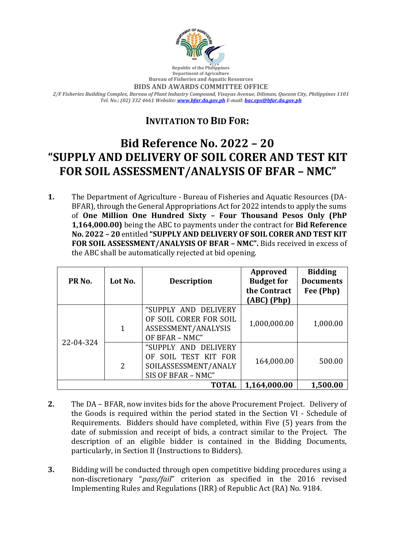

**Republic of the Philippines Department of Agriculture Bureau of Fisheries and Aquatic Resources**

**BIDS AND AWARDS COMMITTEE OFFICE**

*2/F Fisheries Building Complex, Bureau of Plant Industry Compound, Visayas Avenue, Diliman, Quezon City, Philippines 1101 Tel. No.: (02) 332 4661 Website[: www.bfar.da.gov.ph](http://www.bfar.da.gov.ph/) E-mail[: bac.eps@bfar.da.gov.ph](mailto:bac.eps@bfar.da.gov.ph)*

## **INVITATION TO BID FOR:**

## **Bid Reference No. 2022 – 20 "SUPPLY AND DELIVERY OF SOIL CORER AND TEST KIT FOR SOIL ASSESSMENT/ANALYSIS OF BFAR – NMC"**

**1.** The Department of Agriculture - Bureau of Fisheries and Aquatic Resources (DA-BFAR), through the General Appropriations Act for 2022 intends to apply the sums of **One Million One Hundred Sixty – Four Thousand Pesos Only (PhP 1,164,000.00)** being the ABC to payments under the contract for **Bid Reference No. 2022 – 20** entitled **"SUPPLY AND DELIVERY OF SOIL CORER AND TEST KIT FOR SOIL ASSESSMENT/ANALYSIS OF BFAR – NMC".** Bids received in excess of the ABC shall be automatically rejected at bid opening.

| PR <sub>No.</sub> | Lot No.      | <b>Description</b>                                                                         | Approved<br><b>Budget for</b><br>the Contract<br>$(ABC)$ (Php) | <b>Bidding</b><br><b>Documents</b><br>Fee (Php) |
|-------------------|--------------|--------------------------------------------------------------------------------------------|----------------------------------------------------------------|-------------------------------------------------|
| 22-04-324         | $\mathbf{1}$ | "SUPPLY AND DELIVERY<br>OF SOIL CORER FOR SOIL<br>ASSESSMENT/ANALYSIS<br>OF BFAR - NMC"    | 1,000,000.00                                                   | 1,000.00                                        |
|                   | 2            | "SUPPLY AND DELIVERY<br>OF SOIL TEST KIT FOR<br>SOILASSESSMENT/ANALY<br>SIS OF BFAR - NMC" | 164,000.00                                                     | 500.00                                          |
| <b>TOTAL</b>      |              |                                                                                            | 1,164,000.00                                                   | 1,500.00                                        |

- **2.** The DA BFAR, now invites bids for the above Procurement Project. Delivery of the Goods is required within the period stated in the Section VI - Schedule of Requirements. Bidders should have completed, within Five (5) years from the date of submission and receipt of bids, a contract similar to the Project. The description of an eligible bidder is contained in the Bidding Documents, particularly, in Section II (Instructions to Bidders).
- **3.** Bidding will be conducted through open competitive bidding procedures using a non-discretionary "*pass/fail*" criterion as specified in the 2016 revised Implementing Rules and Regulations (IRR) of Republic Act (RA) No. 9184.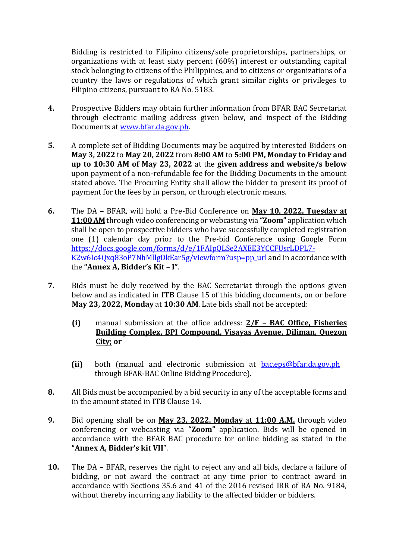Bidding is restricted to Filipino citizens/sole proprietorships, partnerships, or organizations with at least sixty percent (60%) interest or outstanding capital stock belonging to citizens of the Philippines, and to citizens or organizations of a country the laws or regulations of which grant similar rights or privileges to Filipino citizens, pursuant to RA No. 5183.

- **4.** Prospective Bidders may obtain further information from BFAR BAC Secretariat through electronic mailing address given below, and inspect of the Bidding Documents at [www.bfar.da.gov.ph.](http://www.bfar.da.gov.ph/)
- **5.** A complete set of Bidding Documents may be acquired by interested Bidders on **May 3, 2022** to **May 20, 2022** from **8:00 AM** to **5:00 PM, Monday to Friday and up to 10:30 AM of May 23, 2022** at the **given address and website/s below** upon payment of a non-refundable fee for the Bidding Documents in the amount stated above. The Procuring Entity shall allow the bidder to present its proof of payment for the fees by in person, or through electronic means.
- **6.** The DA BFAR, will hold a Pre-Bid Conference on **May 10, 2022, Tuesday at 11:00 AM** through video conferencing or webcasting via **"Zoom"** application which shall be open to prospective bidders who have successfully completed registration one (1) calendar day prior to the Pre-bid Conference using Google Form [https://docs.google.com/forms/d/e/1FAIpQLSe2AXEE3YCCFUsrLDPL7-](https://docs.google.com/forms/d/e/1FAIpQLSe2AXEE3YCCFUsrLDPL7-K2w6Ic4Qxq83oP7NhMllgDkEar5g/viewform?usp=pp_url) [K2w6Ic4Qxq83oP7NhMllgDkEar5g/viewform?usp=pp\\_url](https://docs.google.com/forms/d/e/1FAIpQLSe2AXEE3YCCFUsrLDPL7-K2w6Ic4Qxq83oP7NhMllgDkEar5g/viewform?usp=pp_url) and in accordance with the **"Annex A, Bidder's Kit – I"**.
- **7.** Bids must be duly received by the BAC Secretariat through the options given below and as indicated in **ITB** Clause 15 of this bidding documents, on or before **May 23, 2022, Monday** at **10:30 AM**. Late bids shall not be accepted:
	- **(i)** manual submission at the office address: **2/F – BAC Office, Fisheries Building Complex, BPI Compound, Visayas Avenue, Diliman, Quezon City; or**
	- **(ii)** both (manual and electronic submission at [bac.eps@bfar.da.gov.ph](mailto:bac.eps@bfar.da.gov.ph) through BFAR-BAC Online Bidding Procedure).
- **8.** All Bids must be accompanied by a bid security in any of the acceptable forms and in the amount stated in **ITB** Clause 14.
- **9.** Bid opening shall be on **May 23, 2022, Monday** at **11:00 A.M.** through video conferencing or webcasting via **"Zoom"** application. Bids will be opened in accordance with the BFAR BAC procedure for online bidding as stated in the "**Annex A, Bidder's kit VII**".
- **10.** The DA BFAR, reserves the right to reject any and all bids, declare a failure of bidding, or not award the contract at any time prior to contract award in accordance with Sections 35.6 and 41 of the 2016 revised IRR of RA No. 9184, without thereby incurring any liability to the affected bidder or bidders.